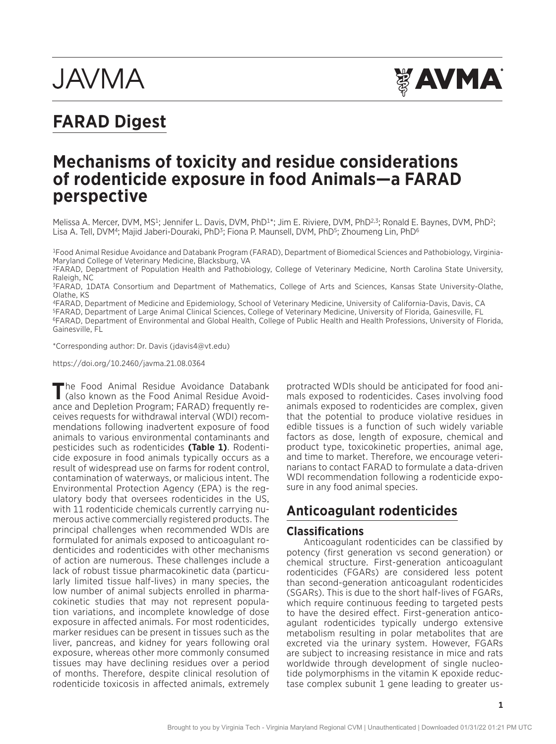# **JAVMA**



# **FARAD Digest**

# **Mechanisms of toxicity and residue considerations of rodenticide exposure in food Animals—a FARAD perspective**

Melissa A. Mercer, DVM, MS<sup>1</sup>; Jennifer L. Davis, DVM, PhD<sup>1\*</sup>; Jim E. Riviere, DVM, PhD<sup>2,3</sup>; Ronald E. Baynes, DVM, PhD<sup>2</sup>; Lisa A. Tell, DVM<sup>4</sup>; Majid Jaberi-Douraki, PhD<sup>3</sup>; Fiona P. Maunsell, DVM, PhD<sup>5</sup>; Zhoumeng Lin, PhD<sup>6</sup>

1Food Animal Residue Avoidance and Databank Program (FARAD), Department of Biomedical Sciences and Pathobiology, Virginia-Maryland College of Veterinary Medicine, Blacksburg, VA

2FARAD, Department of Population Health and Pathobiology, College of Veterinary Medicine, North Carolina State University, Raleigh, NC

3FARAD, 1DATA Consortium and Department of Mathematics, College of Arts and Sciences, Kansas State University-Olathe, Olathe, KS

4FARAD, Department of Medicine and Epidemiology, School of Veterinary Medicine, University of California-Davis, Davis, CA 5FARAD, Department of Large Animal Clinical Sciences, College of Veterinary Medicine, University of Florida, Gainesville, FL 6FARAD, Department of Environmental and Global Health, College of Public Health and Health Professions, University of Florida, Gainesville, FL

\*Corresponding author: Dr. Davis ([jdavis4@vt.edu\)](mailto:jdavis4@vt.edu)

<https://doi.org/10.2460/javma.21.08.0364>

The Food Animal Residue Avoidance Databank<br>
(also known as the Food Animal Residue Avoidance and Depletion Program; FARAD) frequently receives requests for withdrawal interval (WDI) recommendations following inadvertent exposure of food animals to various environmental contaminants and pesticides such as rodenticides **(Table 1)**. Rodenticide exposure in food animals typically occurs as a result of widespread use on farms for rodent control, contamination of waterways, or malicious intent. The Environmental Protection Agency (EPA) is the regulatory body that oversees rodenticides in the US, with 11 rodenticide chemicals currently carrying numerous active commercially registered products. The principal challenges when recommended WDIs are formulated for animals exposed to anticoagulant rodenticides and rodenticides with other mechanisms of action are numerous. These challenges include a lack of robust tissue pharmacokinetic data (particularly limited tissue half-lives) in many species, the low number of animal subjects enrolled in pharmacokinetic studies that may not represent population variations, and incomplete knowledge of dose exposure in affected animals. For most rodenticides, marker residues can be present in tissues such as the liver, pancreas, and kidney for years following oral exposure, whereas other more commonly consumed tissues may have declining residues over a period of months. Therefore, despite clinical resolution of rodenticide toxicosis in affected animals, extremely

protracted WDIs should be anticipated for food animals exposed to rodenticides. Cases involving food animals exposed to rodenticides are complex, given that the potential to produce violative residues in edible tissues is a function of such widely variable factors as dose, length of exposure, chemical and product type, toxicokinetic properties, animal age, and time to market. Therefore, we encourage veterinarians to contact FARAD to formulate a data-driven WDI recommendation following a rodenticide exposure in any food animal species.

# **Anticoagulant rodenticides**

#### **Classifications**

Anticoagulant rodenticides can be classified by potency (first generation vs second generation) or chemical structure. First-generation anticoagulant rodenticides (FGARs) are considered less potent than second-generation anticoagulant rodenticides (SGARs). This is due to the short half-lives of FGARs, which require continuous feeding to targeted pests to have the desired effect. First-generation anticoagulant rodenticides typically undergo extensive metabolism resulting in polar metabolites that are excreted via the urinary system. However, FGARs are subject to increasing resistance in mice and rats worldwide through development of single nucleotide polymorphisms in the vitamin K epoxide reductase complex subunit 1 gene leading to greater us-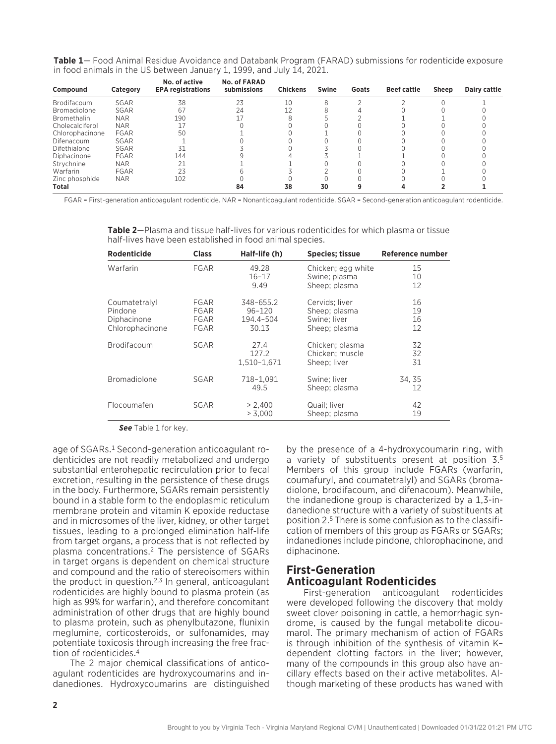| Table 1- Food Animal Residue Avoidance and Databank Program (FARAD) submissions for rodenticide exposure |  |  |
|----------------------------------------------------------------------------------------------------------|--|--|
| in food animals in the US between January 1, 1999, and July 14, 2021.                                    |  |  |

| Compound            | Category    | No. of active<br><b>EPA registrations</b> | <b>No. of FARAD</b><br>submissions | <b>Chickens</b> | Swine | Goats | <b>Beef cattle</b> | Sheep | Dairy cattle |
|---------------------|-------------|-------------------------------------------|------------------------------------|-----------------|-------|-------|--------------------|-------|--------------|
| Brodifacoum         | SGAR        | 38                                        | 23                                 | 10              |       |       |                    |       |              |
| <b>Bromadiolone</b> | SGAR        | 67                                        | 24                                 |                 |       |       |                    |       |              |
| <b>Bromethalin</b>  | <b>NAR</b>  | 190                                       |                                    |                 |       |       |                    |       |              |
| Cholecalciferol     | <b>NAR</b>  |                                           |                                    |                 |       |       |                    |       |              |
| Chlorophacinone     | FGAR        | 50                                        |                                    |                 |       |       |                    |       |              |
| Difenacoum          | SGAR        |                                           |                                    |                 |       |       |                    |       |              |
| Difethialone        | SGAR        | 31                                        |                                    |                 |       |       |                    |       |              |
| Diphacinone         | <b>FGAR</b> | 144                                       |                                    |                 |       |       |                    |       |              |
| Strychnine          | <b>NAR</b>  | 21                                        |                                    |                 |       |       |                    |       |              |
| Warfarin            | FGAR        | 23                                        |                                    |                 |       |       |                    |       |              |
| Zinc phosphide      | <b>NAR</b>  | 102                                       |                                    |                 |       |       |                    |       |              |
| Total               |             |                                           | 84                                 | 38              | 30    |       |                    |       |              |

FGAR = First-generation anticoagulant rodenticide. NAR = Nonanticoagulant rodenticide. SGAR = Second-generation anticoagulant rodenticide.

| Rodenticide                                                | <b>Class</b>                 | Half-life (h)                                 | <b>Species</b> ; tissue                                          | Reference number     |
|------------------------------------------------------------|------------------------------|-----------------------------------------------|------------------------------------------------------------------|----------------------|
| Warfarin                                                   | <b>FGAR</b>                  | 49.28<br>$16 - 17$<br>9.49                    | Chicken; egg white<br>Swine; plasma<br>Sheep; plasma             | 15<br>10<br>12       |
| Coumatetralyl<br>Pindone<br>Diphacinone<br>Chlorophacinone | FGAR<br>FGAR<br>FGAR<br>FGAR | 348-655.2<br>$96 - 120$<br>194.4-504<br>30.13 | Cervids: liver<br>Sheep; plasma<br>Swine; liver<br>Sheep; plasma | 16<br>19<br>16<br>12 |
| <b>Brodifacoum</b>                                         | SGAR                         | 27.4<br>127.2<br>1.510-1.671                  | Chicken; plasma<br>Chicken; muscle<br>Sheep; liver               | 32<br>32<br>31       |
| <b>Bromadiolone</b>                                        | SGAR                         | 718-1.091<br>49.5                             | Swine: liver<br>Sheep; plasma                                    | 34, 35<br>12         |
| Flocoumafen                                                | SGAR                         | > 2.400<br>> 3.000                            | Quail; liver<br>Sheep; plasma                                    | 42<br>19             |

**Table 2**—Plasma and tissue half-lives for various rodenticides for which plasma or tissue half-lives have been established in food animal species.

*See* Table 1 for key.

age of SGARs.<sup>1</sup> Second-generation anticoagulant rodenticides are not readily metabolized and undergo substantial enterohepatic recirculation prior to fecal excretion, resulting in the persistence of these drugs in the body. Furthermore, SGARs remain persistently bound in a stable form to the endoplasmic reticulum membrane protein and vitamin K epoxide reductase and in microsomes of the liver, kidney, or other target tissues, leading to a prolonged elimination half-life from target organs, a process that is not reflected by plasma concentrations.2 The persistence of SGARs in target organs is dependent on chemical structure and compound and the ratio of stereoisomers within the product in question.<sup>2,3</sup> In general, anticoagulant rodenticides are highly bound to plasma protein (as high as 99% for warfarin), and therefore concomitant administration of other drugs that are highly bound to plasma protein, such as phenylbutazone, flunixin meglumine, corticosteroids, or sulfonamides, may potentiate toxicosis through increasing the free fraction of rodenticides.4

The 2 major chemical classifications of anticoagulant rodenticides are hydroxycoumarins and indanediones. Hydroxycoumarins are distinguished

by the presence of a 4-hydroxycoumarin ring, with a variety of substituents present at position 3.5 Members of this group include FGARs (warfarin, coumafuryl, and coumatetralyl) and SGARs (bromadiolone, brodifacoum, and difenacoum). Meanwhile, the indanedione group is characterized by a 1,3-indanedione structure with a variety of substituents at position 2.5 There is some confusion as to the classification of members of this group as FGARs or SGARs; indanediones include pindone, chlorophacinone, and diphacinone.

#### **First-Generation Anticoagulant Rodenticides**

First-generation anticoagulant rodenticides were developed following the discovery that moldy sweet clover poisoning in cattle, a hemorrhagic syndrome, is caused by the fungal metabolite dicoumarol. The primary mechanism of action of FGARs is through inhibition of the synthesis of vitamin K– dependent clotting factors in the liver; however, many of the compounds in this group also have ancillary effects based on their active metabolites. Although marketing of these products has waned with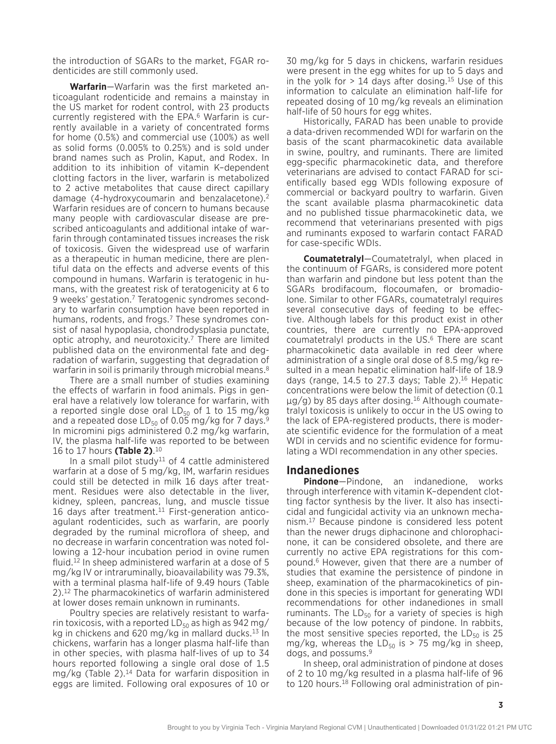the introduction of SGARs to the market, FGAR rodenticides are still commonly used.

**Warfarin**—Warfarin was the first marketed anticoagulant rodenticide and remains a mainstay in the US market for rodent control, with 23 products currently registered with the EPA.6 Warfarin is currently available in a variety of concentrated forms for home (0.5%) and commercial use (100%) as well as solid forms (0.005% to 0.25%) and is sold under brand names such as Prolin, Kaput, and Rodex. In addition to its inhibition of vitamin K–dependent clotting factors in the liver, warfarin is metabolized to 2 active metabolites that cause direct capillary damage (4-hydroxycoumarin and benzalacetone).2 Warfarin residues are of concern to humans because many people with cardiovascular disease are prescribed anticoagulants and additional intake of warfarin through contaminated tissues increases the risk of toxicosis. Given the widespread use of warfarin as a therapeutic in human medicine, there are plentiful data on the effects and adverse events of this compound in humans. Warfarin is teratogenic in humans, with the greatest risk of teratogenicity at 6 to 9 weeks' gestation.7 Teratogenic syndromes secondary to warfarin consumption have been reported in humans, rodents, and frogs.<sup>7</sup> These syndromes consist of nasal hypoplasia, chondrodysplasia punctate, optic atrophy, and neurotoxicity.7 There are limited published data on the environmental fate and degradation of warfarin, suggesting that degradation of warfarin in soil is primarily through microbial means.<sup>8</sup>

There are a small number of studies examining the effects of warfarin in food animals. Pigs in general have a relatively low tolerance for warfarin, with a reported single dose oral  $LD_{50}$  of 1 to 15 mg/kg and a repeated dose  $LD_{50}$  of 0.05 mg/kg for 7 days.<sup>9</sup> In micromini pigs administered 0.2 mg/kg warfarin, IV, the plasma half-life was reported to be between 16 to 17 hours **(Table 2)**. 10

In a small pilot study<sup>11</sup> of 4 cattle administered warfarin at a dose of 5 mg/kg, IM, warfarin residues could still be detected in milk 16 days after treatment. Residues were also detectable in the liver, kidney, spleen, pancreas, lung, and muscle tissue 16 days after treatment.<sup>11</sup> First-generation anticoagulant rodenticides, such as warfarin, are poorly degraded by the ruminal microflora of sheep, and no decrease in warfarin concentration was noted following a 12-hour incubation period in ovine rumen fluid.12 In sheep administered warfarin at a dose of 5 mg/kg IV or intraruminally, bioavailability was 79.3%, with a terminal plasma half-life of 9.49 hours (Table 2).12 The pharmacokinetics of warfarin administered at lower doses remain unknown in ruminants.

Poultry species are relatively resistant to warfarin toxicosis, with a reported  $LD_{50}$  as high as 942 mg/ kg in chickens and 620 mg/kg in mallard ducks. $13 \ln$ chickens, warfarin has a longer plasma half-life than in other species, with plasma half-lives of up to 34 hours reported following a single oral dose of 1.5 mg/kg (Table 2).14 Data for warfarin disposition in eggs are limited. Following oral exposures of 10 or

30 mg/kg for 5 days in chickens, warfarin residues were present in the egg whites for up to 5 days and in the yolk for  $> 14$  days after dosing.<sup>15</sup> Use of this information to calculate an elimination half-life for repeated dosing of 10 mg/kg reveals an elimination half-life of 50 hours for egg whites.

Historically, FARAD has been unable to provide a data-driven recommended WDI for warfarin on the basis of the scant pharmacokinetic data available in swine, poultry, and ruminants. There are limited egg-specific pharmacokinetic data, and therefore veterinarians are advised to contact FARAD for scientifically based egg WDIs following exposure of commercial or backyard poultry to warfarin. Given the scant available plasma pharmacokinetic data and no published tissue pharmacokinetic data, we recommend that veterinarians presented with pigs and ruminants exposed to warfarin contact FARAD for case-specific WDIs.

**Coumatetralyl**—Coumatetralyl, when placed in the continuum of FGARs, is considered more potent than warfarin and pindone but less potent than the SGARs brodifacoum, flocoumafen, or bromadiolone. Similar to other FGARs, coumatetralyl requires several consecutive days of feeding to be effective. Although labels for this product exist in other countries, there are currently no EPA-approved coumatetralyl products in the US.6 There are scant pharmacokinetic data available in red deer where administration of a single oral dose of 8.5 mg/kg resulted in a mean hepatic elimination half-life of 18.9 days (range,  $14.5$  to 27.3 days; Table 2).<sup>16</sup> Hepatic concentrations were below the limit of detection (0.1 µg/g) by 85 days after dosing.16 Although coumatetralyl toxicosis is unlikely to occur in the US owing to the lack of EPA-registered products, there is moderate scientific evidence for the formulation of a meat WDI in cervids and no scientific evidence for formulating a WDI recommendation in any other species.

#### **Indanediones**

**Pindone**—Pindone, an indanedione, works through interference with vitamin K–dependent clotting factor synthesis by the liver. It also has insecticidal and fungicidal activity via an unknown mechanism.17 Because pindone is considered less potent than the newer drugs diphacinone and chlorophacinone, it can be considered obsolete, and there are currently no active EPA registrations for this compound.6 However, given that there are a number of studies that examine the persistence of pindone in sheep, examination of the pharmacokinetics of pindone in this species is important for generating WDI recommendations for other indanediones in small ruminants. The  $LD_{50}$  for a variety of species is high because of the low potency of pindone. In rabbits, the most sensitive species reported, the  $LD_{50}$  is 25 mg/kg, whereas the  $LD_{50}$  is > 75 mg/kg in sheep, dogs, and possums.9

In sheep, oral administration of pindone at doses of 2 to 10 mg/kg resulted in a plasma half-life of 96 to 120 hours.<sup>18</sup> Following oral administration of pin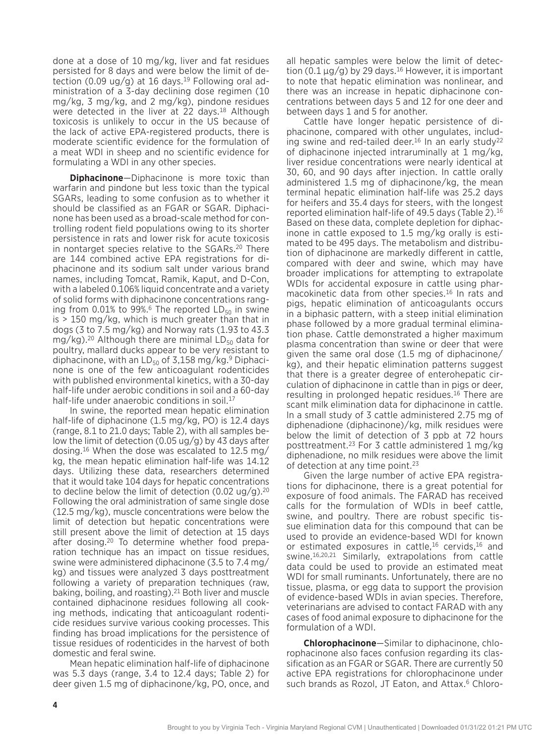done at a dose of 10 mg/kg, liver and fat residues persisted for 8 days and were below the limit of detection (0.09 ug/g) at 16 days.<sup>19</sup> Following oral administration of a 3-day declining dose regimen (10 mg/kg, 3 mg/kg, and 2 mg/kg), pindone residues were detected in the liver at 22 days.<sup>18</sup> Although toxicosis is unlikely to occur in the US because of the lack of active EPA-registered products, there is moderate scientific evidence for the formulation of a meat WDI in sheep and no scientific evidence for formulating a WDI in any other species.

**Diphacinone**—Diphacinone is more toxic than warfarin and pindone but less toxic than the typical SGARs, leading to some confusion as to whether it should be classified as an FGAR or SGAR. Diphacinone has been used as a broad-scale method for controlling rodent field populations owing to its shorter persistence in rats and lower risk for acute toxicosis in nontarget species relative to the SGARs.20 There are 144 combined active EPA registrations for diphacinone and its sodium salt under various brand names, including Tomcat, Ramik, Kaput, and D-Con, with a labeled 0.106% liquid concentrate and a variety of solid forms with diphacinone concentrations ranging from 0.01% to 99%.<sup>6</sup> The reported  $LD_{50}$  in swine is > 150 mg/kg, which is much greater than that in dogs (3 to  $7.5 \text{ mg/kg}$ ) and Norway rats (1.93 to 43.3 mg/kg).<sup>20</sup> Although there are minimal  $LD_{50}$  data for poultry, mallard ducks appear to be very resistant to diphacinone, with an  $LD_{50}$  of 3,158 mg/kg.<sup>9</sup> Diphacinone is one of the few anticoagulant rodenticides with published environmental kinetics, with a 30-day half-life under aerobic conditions in soil and a 60-day half-life under anaerobic conditions in soil.<sup>17</sup>

In swine, the reported mean hepatic elimination half-life of diphacinone (1.5 mg/kg, PO) is 12.4 days (range, 8.1 to 21.0 days; Table 2), with all samples below the limit of detection (0.05  $\mu$ g/g) by 43 days after dosing.16 When the dose was escalated to 12.5 mg/ kg, the mean hepatic elimination half-life was 14.12 days. Utilizing these data, researchers determined that it would take 104 days for hepatic concentrations to decline below the limit of detection (0.02 ug/g).<sup>20</sup> Following the oral administration of same single dose (12.5 mg/kg), muscle concentrations were below the limit of detection but hepatic concentrations were still present above the limit of detection at 15 days after dosing.20 To determine whether food preparation technique has an impact on tissue residues, swine were administered diphacinone (3.5 to 7.4 mg/ kg) and tissues were analyzed 3 days posttreatment following a variety of preparation techniques (raw, baking, boiling, and roasting).21 Both liver and muscle contained diphacinone residues following all cooking methods, indicating that anticoagulant rodenticide residues survive various cooking processes. This finding has broad implications for the persistence of tissue residues of rodenticides in the harvest of both domestic and feral swine.

Mean hepatic elimination half-life of diphacinone was 5.3 days (range, 3.4 to 12.4 days; Table 2) for deer given 1.5 mg of diphacinone/kg, PO, once, and

all hepatic samples were below the limit of detection (0.1  $\mu$ g/g) by 29 days.<sup>16</sup> However, it is important to note that hepatic elimination was nonlinear, and there was an increase in hepatic diphacinone concentrations between days 5 and 12 for one deer and between days 1 and 5 for another.

Cattle have longer hepatic persistence of diphacinone, compared with other ungulates, including swine and red-tailed deer.<sup>16</sup> In an early study<sup>22</sup> of diphacinone injected intraruminally at 1 mg/kg, liver residue concentrations were nearly identical at 30, 60, and 90 days after injection. In cattle orally administered 1.5 mg of diphacinone/kg, the mean terminal hepatic elimination half-life was 25.2 days for heifers and 35.4 days for steers, with the longest reported elimination half-life of 49.5 days (Table 2).16 Based on these data, complete depletion for diphacinone in cattle exposed to 1.5 mg/kg orally is estimated to be 495 days. The metabolism and distribution of diphacinone are markedly different in cattle, compared with deer and swine, which may have broader implications for attempting to extrapolate WDIs for accidental exposure in cattle using pharmacokinetic data from other species.<sup>16</sup> In rats and pigs, hepatic elimination of anticoagulants occurs in a biphasic pattern, with a steep initial elimination phase followed by a more gradual terminal elimination phase. Cattle demonstrated a higher maximum plasma concentration than swine or deer that were given the same oral dose (1.5 mg of diphacinone/ kg), and their hepatic elimination patterns suggest that there is a greater degree of enterohepatic circulation of diphacinone in cattle than in pigs or deer, resulting in prolonged hepatic residues.<sup>16</sup> There are scant milk elimination data for diphacinone in cattle. In a small study of 3 cattle administered 2.75 mg of diphenadione (diphacinone)/kg, milk residues were below the limit of detection of 3 ppb at 72 hours posttreatment.23 For 3 cattle administered 1 mg/kg diphenadione, no milk residues were above the limit of detection at any time point.<sup>23</sup>

Given the large number of active EPA registrations for diphacinone, there is a great potential for exposure of food animals. The FARAD has received calls for the formulation of WDIs in beef cattle, swine, and poultry. There are robust specific tissue elimination data for this compound that can be used to provide an evidence-based WDI for known or estimated exposures in cattle,<sup>16</sup> cervids,<sup>16</sup> and swine.16,20,21 Similarly, extrapolations from cattle data could be used to provide an estimated meat WDI for small ruminants. Unfortunately, there are no tissue, plasma, or egg data to support the provision of evidence-based WDIs in avian species. Therefore, veterinarians are advised to contact FARAD with any cases of food animal exposure to diphacinone for the formulation of a WDI.

**Chlorophacinone**—Similar to diphacinone, chlorophacinone also faces confusion regarding its classification as an FGAR or SGAR. There are currently 50 active EPA registrations for chlorophacinone under such brands as Rozol, JT Eaton, and Attax.<sup>6</sup> Chloro-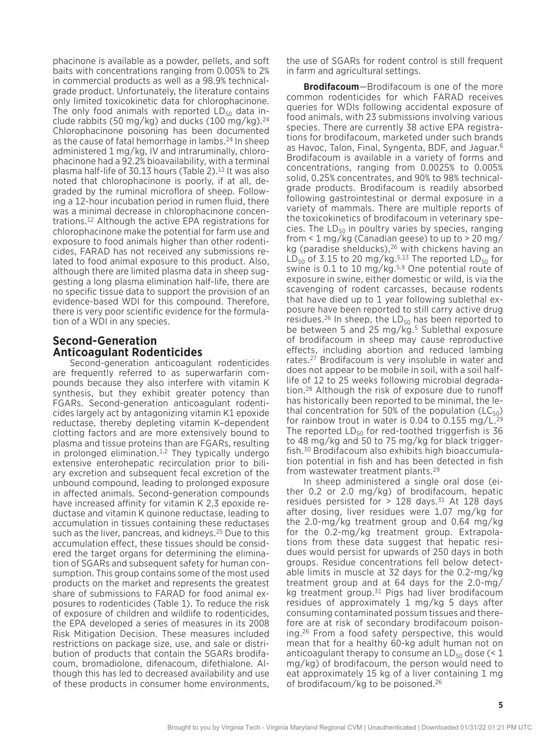phacinone is available as a powder, pellets, and soft baits with concentrations ranging from 0.005% to 2% in commercial products as well as a 98.9% technicalgrade product. Unfortunately, the literature contains only limited toxicokinetic data for chlorophacinone. The only food animals with reported  $LD_{50}$  data include rabbits (50 mg/kg) and ducks (100 mg/kg).<sup>24</sup> Chlorophacinone poisoning has been documented as the cause of fatal hemorrhage in lambs.24 In sheep administered 1 mg/kg, IV and intraruminally, chlorophacinone had a 92.2% bioavailability, with a terminal plasma half-life of 30.13 hours (Table 2).<sup>12</sup> It was also noted that chlorophacinone is poorly, if at all, degraded by the ruminal microflora of sheep. Following a 12-hour incubation period in rumen fluid, there was a minimal decrease in chlorophacinone concentrations.12 Although the active EPA registrations for chlorophacinone make the potential for farm use and exposure to food animals higher than other rodenticides, FARAD has not received any submissions related to food animal exposure to this product. Also, although there are limited plasma data in sheep suggesting a long plasma elimination half-life, there are no specific tissue data to support the provision of an evidence-based WDI for this compound. Therefore, there is very poor scientific evidence for the formulation of a WDI in any species.

## **Second-Generation Anticoagulant Rodenticides**

Second-generation anticoagulant rodenticides are frequently referred to as superwarfarin compounds because they also interfere with vitamin K synthesis, but they exhibit greater potency than FGARs. Second-generation anticoagulant rodenticides largely act by antagonizing vitamin K1 epoxide reductase, thereby depleting vitamin K–dependent clotting factors and are more extensively bound to plasma and tissue proteins than are FGARs, resulting in prolonged elimination. $1,2$  They typically undergo extensive enterohepatic recirculation prior to biliary excretion and subsequent fecal excretion of the unbound compound, leading to prolonged exposure in affected animals. Second-generation compounds have increased affinity for vitamin K 2,3 epoxide reductase and vitamin K quinone reductase, leading to accumulation in tissues containing these reductases such as the liver, pancreas, and kidneys.<sup>25</sup> Due to this accumulation effect, these tissues should be considered the target organs for determining the elimination of SGARs and subsequent safety for human consumption. This group contains some of the most used products on the market and represents the greatest share of submissions to FARAD for food animal exposures to rodenticides (Table 1). To reduce the risk of exposure of children and wildlife to rodenticides, the EPA developed a series of measures in its 2008 Risk Mitigation Decision. These measures included restrictions on package size, use, and sale or distribution of products that contain the SGARs brodifacoum, bromadiolone, difenacoum, difethialone. Although this has led to decreased availability and use of these products in consumer home environments,

the use of SGARs for rodent control is still frequent in farm and agricultural settings.

**Brodifacoum**—Brodifacoum is one of the more common rodenticides for which FARAD receives queries for WDIs following accidental exposure of food animals, with 23 submissions involving various species. There are currently 38 active EPA registrations for brodifacoum, marketed under such brands as Havoc, Talon, Final, Syngenta, BDF, and Jaguar.6 Brodifacoum is available in a variety of forms and concentrations, ranging from 0.0025% to 0.005% solid, 0.25% concentrates, and 90% to 98% technicalgrade products. Brodifacoum is readily absorbed following gastrointestinal or dermal exposure in a variety of mammals. There are multiple reports of the toxicokinetics of brodifacoum in veterinary species. The  $LD_{50}$  in poultry varies by species, ranging from  $\leq$  1 mg/kg (Canadian geese) to up to  $>$  20 mg/ kg (paradise shelducks),<sup>26</sup> with chickens having an  $LD_{50}$  of 3.15 to 20 mg/kg.<sup>5,13</sup> The reported  $LD_{50}$  for swine is 0.1 to 10 mg/kg.<sup>5,9</sup> One potential route of exposure in swine, either domestic or wild, is via the scavenging of rodent carcasses, because rodents that have died up to 1 year following sublethal exposure have been reported to still carry active drug residues.<sup>26</sup> In sheep, the LD<sub>50</sub> has been reported to be between 5 and 25 mg/kg.<sup>5</sup> Sublethal exposure of brodifacoum in sheep may cause reproductive effects, including abortion and reduced lambing rates.27 Brodifacoum is very insoluble in water and does not appear to be mobile in soil, with a soil halflife of 12 to 25 weeks following microbial degradation.28 Although the risk of exposure due to runoff has historically been reported to be minimal, the lethal concentration for 50% of the population ( $LC_{50}$ ) for rainbow trout in water is 0.04 to 0.155 mg/ $L^{29}$ The reported  $LD_{50}$  for red-toothed triggerfish is 36 to 48 mg/kg and 50 to 75 mg/kg for black triggerfish.30 Brodifacoum also exhibits high bioaccumulation potential in fish and has been detected in fish from wastewater treatment plants.29

In sheep administered a single oral dose (either 0.2 or 2.0 mg/kg) of brodifacoum, hepatic residues persisted for  $> 128$  days.<sup>31</sup> At 128 days after dosing, liver residues were 1.07 mg/kg for the 2.0-mg/kg treatment group and 0.64 mg/kg for the 0.2-mg/kg treatment group. Extrapolations from these data suggest that hepatic residues would persist for upwards of 250 days in both groups. Residue concentrations fell below detectable limits in muscle at 32 days for the 0.2-mg/kg treatment group and at 64 days for the 2.0-mg/ kg treatment group.<sup>31</sup> Pigs had liver brodifacoum residues of approximately 1 mg/kg 5 days after consuming contaminated possum tissues and therefore are at risk of secondary brodifacoum poisoning.26 From a food safety perspective, this would mean that for a healthy 60-kg adult human not on anticoagulant therapy to consume an  $LD_{50}$  dose (< 1 mg/kg) of brodifacoum, the person would need to eat approximately 15 kg of a liver containing 1 mg of brodifacoum/kg to be poisoned.26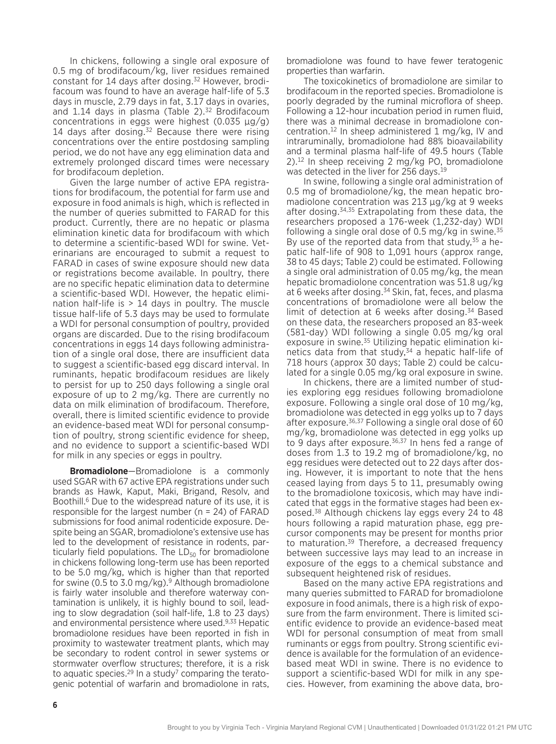In chickens, following a single oral exposure of 0.5 mg of brodifacoum/kg, liver residues remained constant for 14 days after dosing.<sup>32</sup> However, brodifacoum was found to have an average half-life of 5.3 days in muscle, 2.79 days in fat, 3.17 days in ovaries, and  $1.14$  days in plasma (Table 2).<sup>32</sup> Brodifacoum concentrations in eggs were highest (0.035 µg/g) 14 days after dosing. $32$  Because there were rising concentrations over the entire postdosing sampling period, we do not have any egg elimination data and extremely prolonged discard times were necessary for brodifacoum depletion.

Given the large number of active EPA registrations for brodifacoum, the potential for farm use and exposure in food animals is high, which is reflected in the number of queries submitted to FARAD for this product. Currently, there are no hepatic or plasma elimination kinetic data for brodifacoum with which to determine a scientific-based WDI for swine. Veterinarians are encouraged to submit a request to FARAD in cases of swine exposure should new data or registrations become available. In poultry, there are no specific hepatic elimination data to determine a scientific-based WDI. However, the hepatic elimination half-life is  $> 14$  days in poultry. The muscle tissue half-life of 5.3 days may be used to formulate a WDI for personal consumption of poultry, provided organs are discarded. Due to the rising brodifacoum concentrations in eggs 14 days following administration of a single oral dose, there are insufficient data to suggest a scientific-based egg discard interval. In ruminants, hepatic brodifacoum residues are likely to persist for up to 250 days following a single oral exposure of up to 2 mg/kg. There are currently no data on milk elimination of brodifacoum. Therefore, overall, there is limited scientific evidence to provide an evidence-based meat WDI for personal consumption of poultry, strong scientific evidence for sheep, and no evidence to support a scientific-based WDI for milk in any species or eggs in poultry.

**Bromadiolone**—Bromadiolone is a commonly used SGAR with 67 active EPA registrations under such brands as Hawk, Kaput, Maki, Brigand, Resolv, and Boothill.<sup>6</sup> Due to the widespread nature of its use, it is responsible for the largest number ( $n = 24$ ) of FARAD submissions for food animal rodenticide exposure. Despite being an SGAR, bromadiolone's extensive use has led to the development of resistance in rodents, particularly field populations. The  $LD_{50}$  for bromadiolone in chickens following long-term use has been reported to be 5.0 mg/kg, which is higher than that reported for swine (0.5 to 3.0 mg/kg).<sup>9</sup> Although bromadiolone is fairly water insoluble and therefore waterway contamination is unlikely, it is highly bound to soil, leading to slow degradation (soil half-life, 1.8 to 23 days) and environmental persistence where used.9,33 Hepatic bromadiolone residues have been reported in fish in proximity to wastewater treatment plants, which may be secondary to rodent control in sewer systems or stormwater overflow structures; therefore, it is a risk to aquatic species. $29 \ln a$  study<sup>7</sup> comparing the teratogenic potential of warfarin and bromadiolone in rats,

bromadiolone was found to have fewer teratogenic properties than warfarin.

The toxicokinetics of bromadiolone are similar to brodifacoum in the reported species. Bromadiolone is poorly degraded by the ruminal microflora of sheep. Following a 12-hour incubation period in rumen fluid, there was a minimal decrease in bromadiolone concentration.<sup>12</sup> In sheep administered 1 mg/kg, IV and intraruminally, bromadiolone had 88% bioavailability and a terminal plasma half-life of 49.5 hours (Table 2).12 In sheep receiving 2 mg/kg PO, bromadiolone was detected in the liver for 256 days.<sup>19</sup>

In swine, following a single oral administration of 0.5 mg of bromadiolone/kg, the mean hepatic bromadiolone concentration was 213 µg/kg at 9 weeks after dosing.34,35 Extrapolating from these data, the researchers proposed a 176-week (1,232-day) WDI following a single oral dose of 0.5 mg/kg in swine. $35$ By use of the reported data from that study,  $35$  a hepatic half-life of 908 to 1,091 hours (approx range, 38 to 45 days; Table 2) could be estimated. Following a single oral administration of 0.05 mg/kg, the mean hepatic bromadiolone concentration was 51.8 ug/kg at 6 weeks after dosing.<sup>34</sup> Skin, fat, feces, and plasma concentrations of bromadiolone were all below the limit of detection at 6 weeks after dosing.<sup>34</sup> Based on these data, the researchers proposed an 83-week (581-day) WDI following a single 0.05 mg/kg oral exposure in swine.<sup>35</sup> Utilizing hepatic elimination kinetics data from that study,<sup>34</sup> a hepatic half-life of 718 hours (approx 30 days; Table 2) could be calculated for a single 0.05 mg/kg oral exposure in swine.

In chickens, there are a limited number of studies exploring egg residues following bromadiolone exposure. Following a single oral dose of 10 mg/kg, bromadiolone was detected in egg yolks up to 7 days after exposure.<sup>36,37</sup> Following a single oral dose of 60 mg/kg, bromadiolone was detected in egg yolks up to 9 days after exposure. $36,37$  In hens fed a range of doses from 1.3 to 19.2 mg of bromadiolone/kg, no egg residues were detected out to 22 days after dosing. However, it is important to note that the hens ceased laying from days 5 to 11, presumably owing to the bromadiolone toxicosis, which may have indicated that eggs in the formative stages had been exposed.38 Although chickens lay eggs every 24 to 48 hours following a rapid maturation phase, egg precursor components may be present for months prior to maturation.<sup>39</sup> Therefore, a decreased frequency between successive lays may lead to an increase in exposure of the eggs to a chemical substance and subsequent heightened risk of residues.

Based on the many active EPA registrations and many queries submitted to FARAD for bromadiolone exposure in food animals, there is a high risk of exposure from the farm environment. There is limited scientific evidence to provide an evidence-based meat WDI for personal consumption of meat from small ruminants or eggs from poultry. Strong scientific evidence is available for the formulation of an evidencebased meat WDI in swine. There is no evidence to support a scientific-based WDI for milk in any species. However, from examining the above data, bro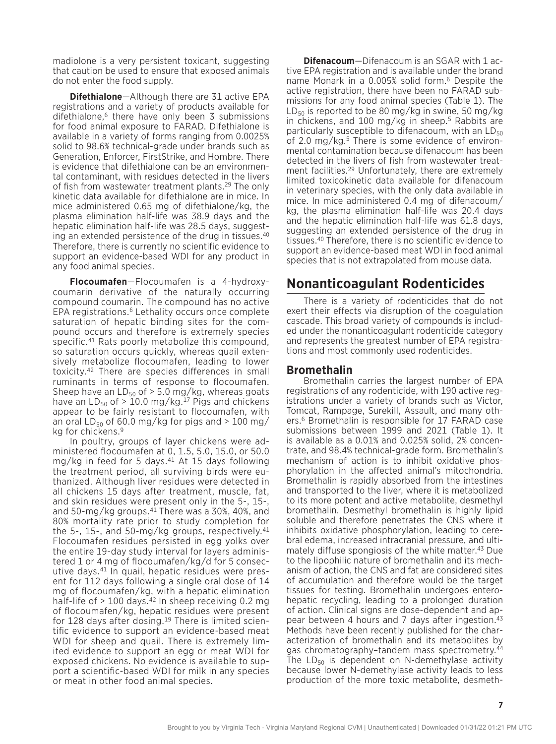madiolone is a very persistent toxicant, suggesting that caution be used to ensure that exposed animals do not enter the food supply.

**Difethialone**—Although there are 31 active EPA registrations and a variety of products available for difethialone,6 there have only been 3 submissions for food animal exposure to FARAD. Difethialone is available in a variety of forms ranging from 0.0025% solid to 98.6% technical-grade under brands such as Generation, Enforcer, FirstStrike, and Hombre. There is evidence that difethialone can be an environmental contaminant, with residues detected in the livers of fish from wastewater treatment plants.29 The only kinetic data available for difethialone are in mice. In mice administered 0.65 mg of difethialone/kg, the plasma elimination half-life was 38.9 days and the hepatic elimination half-life was 28.5 days, suggesting an extended persistence of the drug in tissues.40 Therefore, there is currently no scientific evidence to support an evidence-based WDI for any product in any food animal species.

**Flocoumafen**—Flocoumafen is a 4-hydroxycoumarin derivative of the naturally occurring compound coumarin. The compound has no active EPA registrations.6 Lethality occurs once complete saturation of hepatic binding sites for the compound occurs and therefore is extremely species specific.41 Rats poorly metabolize this compound, so saturation occurs quickly, whereas quail extensively metabolize flocoumafen, leading to lower toxicity.42 There are species differences in small ruminants in terms of response to flocoumafen. Sheep have an  $LD_{50}$  of > 5.0 mg/kg, whereas goats have an  $LD_{50}$  of > 10.0 mg/kg.<sup>17</sup> Pigs and chickens appear to be fairly resistant to flocoumafen, with an oral  $LD_{50}$  of 60.0 mg/kg for pigs and > 100 mg/ kg for chickens.9

In poultry, groups of layer chickens were administered flocoumafen at 0, 1.5, 5.0, 15.0, or 50.0 mg/kg in feed for 5 days.41 At 15 days following the treatment period, all surviving birds were euthanized. Although liver residues were detected in all chickens 15 days after treatment, muscle, fat, and skin residues were present only in the 5-, 15-, and 50-mg/kg groups.41 There was a 30%, 40%, and 80% mortality rate prior to study completion for the 5-, 15-, and 50-mg/kg groups, respectively.41 Flocoumafen residues persisted in egg yolks over the entire 19-day study interval for layers administered 1 or 4 mg of flocoumafen/kg/d for 5 consecutive days.41 In quail, hepatic residues were present for 112 days following a single oral dose of 14 mg of flocoumafen/kg, with a hepatic elimination half-life of  $> 100$  days.<sup>42</sup> In sheep receiving 0.2 mg of flocoumafen/kg, hepatic residues were present for 128 days after dosing.<sup>19</sup> There is limited scientific evidence to support an evidence-based meat WDI for sheep and quail. There is extremely limited evidence to support an egg or meat WDI for exposed chickens. No evidence is available to support a scientific-based WDI for milk in any species or meat in other food animal species.

**Difenacoum**—Difenacoum is an SGAR with 1 active EPA registration and is available under the brand name Monark in a 0.005% solid form.6 Despite the active registration, there have been no FARAD submissions for any food animal species (Table 1). The  $LD_{50}$  is reported to be 80 mg/kg in swine, 50 mg/kg in chickens, and 100 mg/kg in sheep.5 Rabbits are particularly susceptible to difenacoum, with an  $LD_{50}$ of 2.0 mg/kg.5 There is some evidence of environmental contamination because difenacoum has been detected in the livers of fish from wastewater treatment facilities.29 Unfortunately, there are extremely limited toxicokinetic data available for difenacoum in veterinary species, with the only data available in mice. In mice administered 0.4 mg of difenacoum/ kg, the plasma elimination half-life was 20.4 days and the hepatic elimination half-life was 61.8 days, suggesting an extended persistence of the drug in tissues.40 Therefore, there is no scientific evidence to support an evidence-based meat WDI in food animal species that is not extrapolated from mouse data.

# **Nonanticoagulant Rodenticides**

There is a variety of rodenticides that do not exert their effects via disruption of the coagulation cascade. This broad variety of compounds is included under the nonanticoagulant rodenticide category and represents the greatest number of EPA registrations and most commonly used rodenticides.

#### **Bromethalin**

Bromethalin carries the largest number of EPA registrations of any rodenticide, with 190 active registrations under a variety of brands such as Victor, Tomcat, Rampage, Surekill, Assault, and many others.<sup>6</sup> Bromethalin is responsible for 17 FARAD case submissions between 1999 and 2021 (Table 1). It is available as a 0.01% and 0.025% solid, 2% concentrate, and 98.4% technical-grade form. Bromethalin's mechanism of action is to inhibit oxidative phosphorylation in the affected animal's mitochondria. Bromethalin is rapidly absorbed from the intestines and transported to the liver, where it is metabolized to its more potent and active metabolite, desmethyl bromethalin. Desmethyl bromethalin is highly lipid soluble and therefore penetrates the CNS where it inhibits oxidative phosphorylation, leading to cerebral edema, increased intracranial pressure, and ultimately diffuse spongiosis of the white matter.<sup>43</sup> Due to the lipophilic nature of bromethalin and its mechanism of action, the CNS and fat are considered sites of accumulation and therefore would be the target tissues for testing. Bromethalin undergoes enterohepatic recycling, leading to a prolonged duration of action. Clinical signs are dose-dependent and appear between 4 hours and 7 days after ingestion.43 Methods have been recently published for the characterization of bromethalin and its metabolites by gas chromatography-tandem mass spectrometry.<sup>44</sup> The  $LD_{50}$  is dependent on N-demethylase activity because lower N-demethylase activity leads to less production of the more toxic metabolite, desmeth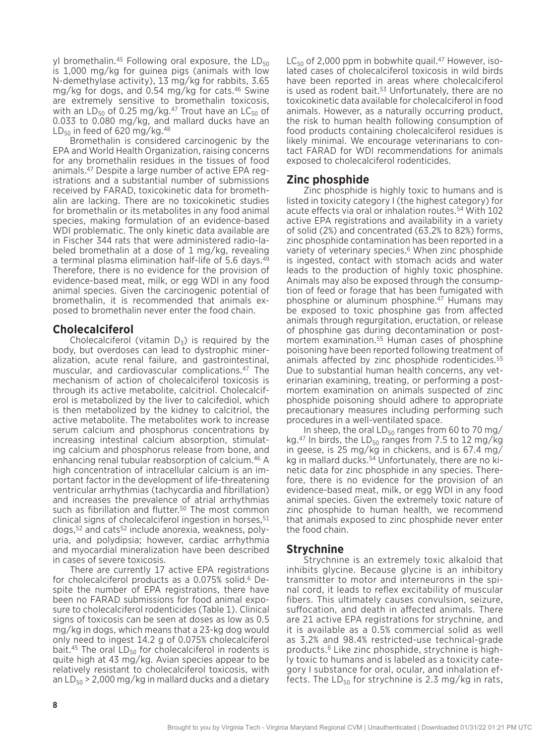yl bromethalin.<sup>45</sup> Following oral exposure, the  $LD_{50}$ is 1,000 mg/kg for guinea pigs (animals with low N-demethylase activity), 13 mg/kg for rabbits, 3.65 mg/kg for dogs, and 0.54 mg/kg for cats.46 Swine are extremely sensitive to bromethalin toxicosis, with an  $LD_{50}$  of 0.25 mg/kg.<sup>47</sup> Trout have an  $LC_{50}$  of 0.033 to 0.080 mg/kg, and mallard ducks have an  $LD_{50}$  in feed of 620 mg/kg.<sup>48</sup>

Bromethalin is considered carcinogenic by the EPA and World Health Organization, raising concerns for any bromethalin residues in the tissues of food animals.47 Despite a large number of active EPA registrations and a substantial number of submissions received by FARAD, toxicokinetic data for bromethalin are lacking. There are no toxicokinetic studies for bromethalin or its metabolites in any food animal species, making formulation of an evidence-based WDI problematic. The only kinetic data available are in Fischer 344 rats that were administered radio-labeled bromethalin at a dose of 1 mg/kg, revealing a terminal plasma elimination half-life of 5.6 days.49 Therefore, there is no evidence for the provision of evidence-based meat, milk, or egg WDI in any food animal species. Given the carcinogenic potential of bromethalin, it is recommended that animals exposed to bromethalin never enter the food chain.

#### **Cholecalciferol**

Cholecalciferol (vitamin  $D_3$ ) is required by the body, but overdoses can lead to dystrophic mineralization, acute renal failure, and gastrointestinal, muscular, and cardiovascular complications.47 The mechanism of action of cholecalciferol toxicosis is through its active metabolite, calcitriol. Cholecalciferol is metabolized by the liver to calcifediol, which is then metabolized by the kidney to calcitriol, the active metabolite. The metabolites work to increase serum calcium and phosphorus concentrations by increasing intestinal calcium absorption, stimulating calcium and phosphorus release from bone, and enhancing renal tubular reabsorption of calcium.46 A high concentration of intracellular calcium is an important factor in the development of life-threatening ventricular arrhythmias (tachycardia and fibrillation) and increases the prevalence of atrial arrhythmias such as fibrillation and flutter.<sup>50</sup> The most common clinical signs of cholecalciferol ingestion in horses, 51 dogs,52 and cats52 include anorexia, weakness, polyuria, and polydipsia; however, cardiac arrhythmia and myocardial mineralization have been described in cases of severe toxicosis.

There are currently 17 active EPA registrations for cholecalciferol products as a 0.075% solid.<sup>6</sup> Despite the number of EPA registrations, there have been no FARAD submissions for food animal exposure to cholecalciferol rodenticides (Table 1). Clinical signs of toxicosis can be seen at doses as low as 0.5 mg/kg in dogs, which means that a 23-kg dog would only need to ingest 14.2 g of 0.075% cholecalciferol bait. $45$  The oral  $LD_{50}$  for cholecalciferol in rodents is quite high at 43 mg/kg. Avian species appear to be relatively resistant to cholecalciferol toxicosis, with an  $LD_{50}$  > 2,000 mg/kg in mallard ducks and a dietary

 $LC_{50}$  of 2,000 ppm in bobwhite quail.<sup>47</sup> However, isolated cases of cholecalciferol toxicosis in wild birds have been reported in areas where cholecalciferol is used as rodent bait.<sup>53</sup> Unfortunately, there are no toxicokinetic data available for cholecalciferol in food animals. However, as a naturally occurring product, the risk to human health following consumption of food products containing cholecalciferol residues is likely minimal. We encourage veterinarians to contact FARAD for WDI recommendations for animals exposed to cholecalciferol rodenticides.

## **Zinc phosphide**

Zinc phosphide is highly toxic to humans and is listed in toxicity category I (the highest category) for acute effects via oral or inhalation routes.54 With 102 active EPA registrations and availability in a variety of solid (2%) and concentrated (63.2% to 82%) forms, zinc phosphide contamination has been reported in a variety of veterinary species.<sup>6</sup> When zinc phosphide is ingested, contact with stomach acids and water leads to the production of highly toxic phosphine. Animals may also be exposed through the consumption of feed or forage that has been fumigated with phosphine or aluminum phosphine.47 Humans may be exposed to toxic phosphine gas from affected animals through regurgitation, eructation, or release of phosphine gas during decontamination or postmortem examination.55 Human cases of phosphine poisoning have been reported following treatment of animals affected by zinc phosphide rodenticides.<sup>55</sup> Due to substantial human health concerns, any veterinarian examining, treating, or performing a postmortem examination on animals suspected of zinc phosphide poisoning should adhere to appropriate precautionary measures including performing such procedures in a well-ventilated space.

In sheep, the oral  $LD_{50}$  ranges from 60 to 70 mg/ kg.<sup>47</sup> In birds, the LD<sub>50</sub> ranges from 7.5 to 12 mg/kg in geese, is 25 mg/kg in chickens, and is 67.4 mg/ kg in mallard ducks.54 Unfortunately, there are no kinetic data for zinc phosphide in any species. Therefore, there is no evidence for the provision of an evidence-based meat, milk, or egg WDI in any food animal species. Given the extremely toxic nature of zinc phosphide to human health, we recommend that animals exposed to zinc phosphide never enter the food chain.

### **Strychnine**

Strychnine is an extremely toxic alkaloid that inhibits glycine. Because glycine is an inhibitory transmitter to motor and interneurons in the spinal cord, it leads to reflex excitability of muscular fibers. This ultimately causes convulsion, seizure, suffocation, and death in affected animals. There are 21 active EPA registrations for strychnine, and it is available as a 0.5% commercial solid as well as 3.2% and 98.4% restricted-use technical-grade products.6 Like zinc phosphide, strychnine is highly toxic to humans and is labeled as a toxicity category I substance for oral, ocular, and inhalation effects. The  $LD_{50}$  for strychnine is 2.3 mg/kg in rats,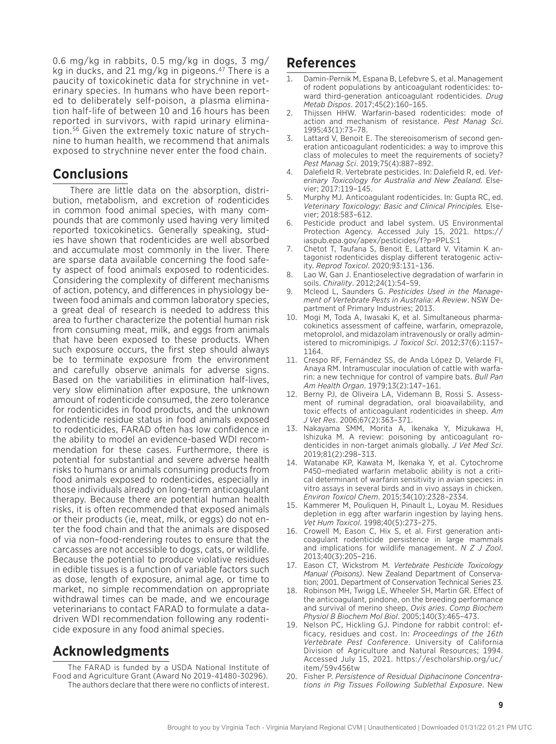0.6 mg/kg in rabbits, 0.5 mg/kg in dogs, 3 mg/ kg in ducks, and 21 mg/kg in pigeons.47 There is a paucity of toxicokinetic data for strychnine in veterinary species. In humans who have been reported to deliberately self-poison, a plasma elimination half-life of between 10 and 16 hours has been reported in survivors, with rapid urinary elimination.56 Given the extremely toxic nature of strychnine to human health, we recommend that animals exposed to strychnine never enter the food chain.

# **Conclusions**

There are little data on the absorption, distribution, metabolism, and excretion of rodenticides in common food animal species, with many compounds that are commonly used having very limited reported toxicokinetics. Generally speaking, studies have shown that rodenticides are well absorbed and accumulate most commonly in the liver. There are sparse data available concerning the food safety aspect of food animals exposed to rodenticides. Considering the complexity of different mechanisms of action, potency, and differences in physiology between food animals and common laboratory species, a great deal of research is needed to address this area to further characterize the potential human risk from consuming meat, milk, and eggs from animals that have been exposed to these products. When such exposure occurs, the first step should always be to terminate exposure from the environment and carefully observe animals for adverse signs. Based on the variabilities in elimination half-lives, very slow elimination after exposure, the unknown amount of rodenticide consumed, the zero tolerance for rodenticides in food products, and the unknown rodenticide residue status in food animals exposed to rodenticides, FARAD often has low confidence in the ability to model an evidence-based WDI recommendation for these cases. Furthermore, there is potential for substantial and severe adverse health risks to humans or animals consuming products from food animals exposed to rodenticides, especially in those individuals already on long-term anticoagulant therapy. Because there are potential human health risks, it is often recommended that exposed animals or their products (ie, meat, milk, or eggs) do not enter the food chain and that the animals are disposed of via non–food-rendering routes to ensure that the carcasses are not accessible to dogs, cats, or wildlife. Because the potential to produce violative residues in edible tissues is a function of variable factors such as dose, length of exposure, animal age, or time to market, no simple recommendation on appropriate withdrawal times can be made, and we encourage veterinarians to contact FARAD to formulate a datadriven WDI recommendation following any rodenticide exposure in any food animal species.

# **Acknowledgments**

The FARAD is funded by a USDA National Institute of Food and Agriculture Grant (Award No 2019-41480-30296). The authors declare that there were no conflicts of interest.

# **References**

- Damin-Pernik M, Espana B, Lefebvre S, et al. Management of rodent populations by anticoagulant rodenticides: toward third-generation anticoagulant rodenticides. *Drug Metab Dispos*. 2017;45(2):160–165.
- 2. Thijssen HHW. Warfarin-based rodenticides: mode of action and mechanism of resistance. *Pest Manag Sci*. 1995;43(1):73–78.
- 3. Lattard V, Benoit E. The stereoisomerism of second generation anticoagulant rodenticides: a way to improve this class of molecules to meet the requirements of society? *Pest Manag Sci*. 2019;75(4):887–892.
- 4. Dalefield R. Vertebrate pesticides. In: Dalefield R, ed. *Veterinary Toxicology for Australia and New Zealand.* Elsevier; 2017:119–145.
- 5. Murphy MJ. Anticoagulant rodenticides. In: Gupta RC, ed. *Veterinary Toxicology: Basic and Clinical Principles.* Elsevier; 2018:583–612.
- 6. Pesticide product and label system. US Environmental Protection Agency. Accessed July 15, 2021. https:// iaspub.epa.gov/apex/pesticides/f?p=PPLS:1
- 7. Chetot T, Taufana S, Benoit E, Lattard V. Vitamin K antagonist rodenticides display different teratogenic activity. *Reprod Toxicol*. 2020;93:131–136.
- 8. Lao W, Gan J. Enantioselective degradation of warfarin in soils. *Chirality*. 2012;24(1):54–59.
- 9. Mcleod L, Saunders G. *Pesticides Used in the Management of Vertebrate Pests in Australia: A Review*. NSW Department of Primary Industries; 2013.
- 10. Mogi M, Toda A, Iwasaki K, et al. Simultaneous pharmacokinetics assessment of caffeine, warfarin, omeprazole, metoprolol, and midazolam intravenously or orally administered to microminipigs. *J Toxicol Sci*. 2012;37(6):1157– 1164.
- 11. Crespo RF, Fernández SS, de Anda López D, Velarde FI, Anaya RM. Intramuscular inoculation of cattle with warfarin: a new technique for control of vampire bats. *Bull Pan Am Health Organ*. 1979;13(2):147–161.
- 12. Berny PJ, de Oliveira LA, Videmann B, Rossi S. Assessment of ruminal degradation, oral bioavailability, and toxic effects of anticoagulant rodenticides in sheep. *Am J Vet Res*. 2006;67(2):363–371.
- 13. Nakayama SMM, Morita A, Ikenaka Y, Mizukawa H, Ishizuka M. A review: poisoning by anticoagulant rodenticides in non-target animals globally. *J Vet Med Sci*. 2019;81(2):298–313.
- 14. Watanabe KP, Kawata M, Ikenaka Y, et al. Cytochrome P450–mediated warfarin metabolic ability is not a critical determinant of warfarin sensitivity in avian species: in vitro assays in several birds and in vivo assays in chicken. *Environ Toxicol Chem*. 2015;34(10):2328–2334.
- 15. Kammerer M, Pouliquen H, Pinault L, Loyau M. Residues depletion in egg after warfarin ingestion by laying hens. *Vet Hum Toxicol*. 1998;40(5):273–275.
- 16. Crowell M, Eason C, Hix S, et al. First generation anticoagulant rodenticide persistence in large mammals and implications for wildlife management. *N Z J Zool*. 2013;40(3):205–216.
- 17. Eason CT, Wickstrom M. *Vertebrate Pesticide Toxicology Manual (Poisons)*. New Zealand Department of Conservation; 2001. Department of Conservation Technical Series 23.
- 18. Robinson MH, Twigg LE, Wheeler SH, Martin GR. Effect of the anticoagulant, pindone, on the breeding performance and survival of merino sheep, *Ovis aries*. *Comp Biochem Physiol B Biochem Mol Biol*. 2005;140(3):465–473.
- 19. Nelson PC, Hickling GJ. Pindone for rabbit control: efficacy, residues and cost. In: *Proceedings of the 16th Vertebrate Pest Conference*. University of California Division of Agriculture and Natural Resources; 1994. Accessed July 15, 2021. https://escholarship.org/uc/ item/59v456tw
- 20. Fisher P. *Persistence of Residual Diphacinone Concentrations in Pig Tissues Following Sublethal Exposure*. New